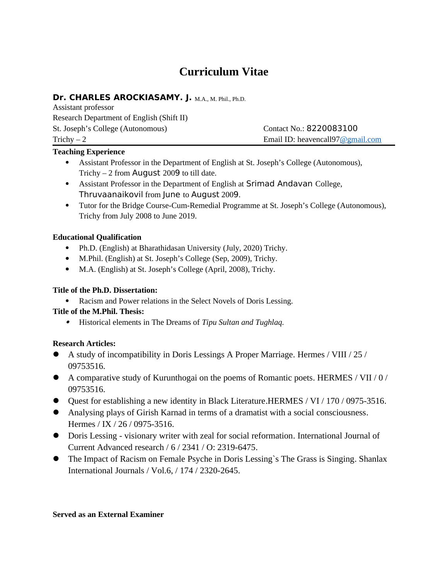# **Curriculum Vitae**

## Dr. CHARLES AROCKIASAMY. J. M.A., M. Phil., Ph.D.

Assistant professor Research Department of English (Shift II) St. Joseph's College (Autonomous) Contact No.: 8220083100

Trichy – 2 Email ID: [heavencall97@gmail.com](mailto:johnfrancis06@gmail.com)

## **Teaching Experience**

- Assistant Professor in the Department of English at St. Joseph's College (Autonomous), Trichy – 2 from August 2009 to till date.
- Assistant Professor in the Department of English at Srimad Andavan College, Thruvaanaikovil from June to August 2009.
- Tutor for the Bridge Course-Cum-Remedial Programme at St. Joseph's College (Autonomous), Trichy from July 2008 to June 2019.

#### **Educational Qualification**

- Ph.D. (English) at Bharathidasan University (July, 2020) Trichy.
- M.Phil. (English) at St. Joseph's College (Sep, 2009), Trichy.
- M.A. (English) at St. Joseph's College (April, 2008), Trichy.

#### **Title of the Ph.D. Dissertation:**

Racism and Power relations in the Select Novels of Doris Lessing.

## **Title of the M.Phil. Thesis:**

Historical elements in The Dreams of *Tipu Sultan and Tughlaq.*

## **Research Articles:**

- A study of incompatibility in Doris Lessings A Proper Marriage. Hermes / VIII / 25 / 09753516.
- A comparative study of Kurunthogai on the poems of Romantic poets. HERMES / VII / 0 / 09753516.
- Quest for establishing a new identity in Black Literature.HERMES / VI / 170 / 0975-3516.
- Analysing plays of Girish Karnad in terms of a dramatist with a social consciousness. Hermes / IX / 26 / 0975-3516.
- Doris Lessing visionary writer with zeal for social reformation. International Journal of Current Advanced research / 6 / 2341 / O: 2319-6475.
- The Impact of Racism on Female Psyche in Doris Lessing`s The Grass is Singing. Shanlax International Journals / Vol.6, / 174 / 2320-2645.

#### **Served as an External Examiner**